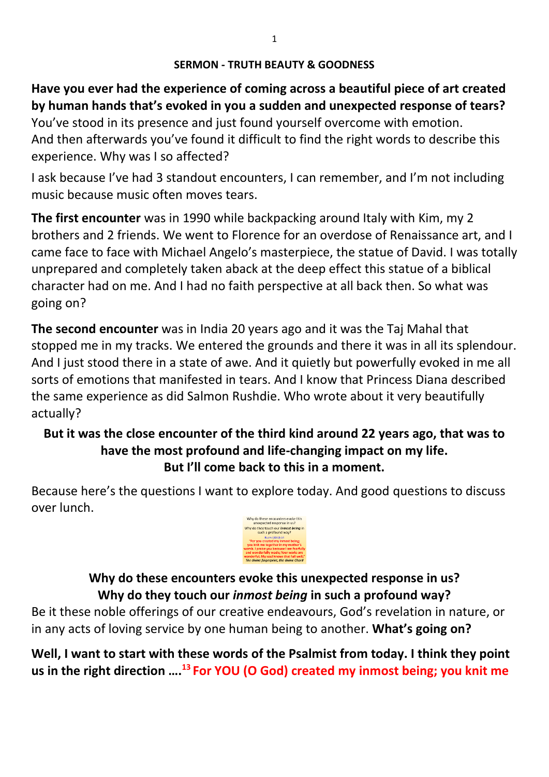**Have you ever had the experience of coming across a beautiful piece of art created by human hands that's evoked in you a sudden and unexpected response of tears?**  You've stood in its presence and just found yourself overcome with emotion.

And then afterwards you've found it difficult to find the right words to describe this experience. Why was I so affected?

I ask because I've had 3 standout encounters, I can remember, and I'm not including music because music often moves tears.

**The first encounter** was in 1990 while backpacking around Italy with Kim, my 2 brothers and 2 friends. We went to Florence for an overdose of Renaissance art, and I came face to face with Michael Angelo's masterpiece, the statue of David. I was totally unprepared and completely taken aback at the deep effect this statue of a biblical character had on me. And I had no faith perspective at all back then. So what was going on?

**The second encounter** was in India 20 years ago and it was the Taj Mahal that stopped me in my tracks. We entered the grounds and there it was in all its splendour. And I just stood there in a state of awe. And it quietly but powerfully evoked in me all sorts of emotions that manifested in tears. And I know that Princess Diana described the same experience as did Salmon Rushdie. Who wrote about it very beautifully actually?

#### **But it was the close encounter of the third kind around 22 years ago, that was to have the most profound and life-changing impact on my life. But I'll come back to this in a moment.**

Because here's the questions I want to explore today. And good questions to discuss over lunch.



**Why do these encounters evoke this unexpected response in us? Why do they touch our** *inmost being* **in such a profound way?**

Be it these noble offerings of our creative endeavours, God's revelation in nature, or in any acts of loving service by one human being to another. **What's going on?**

**Well, I want to start with these words of the Psalmist from today. I think they point us in the right direction …. <sup>13</sup> For YOU (O God) created my inmost being; you knit me**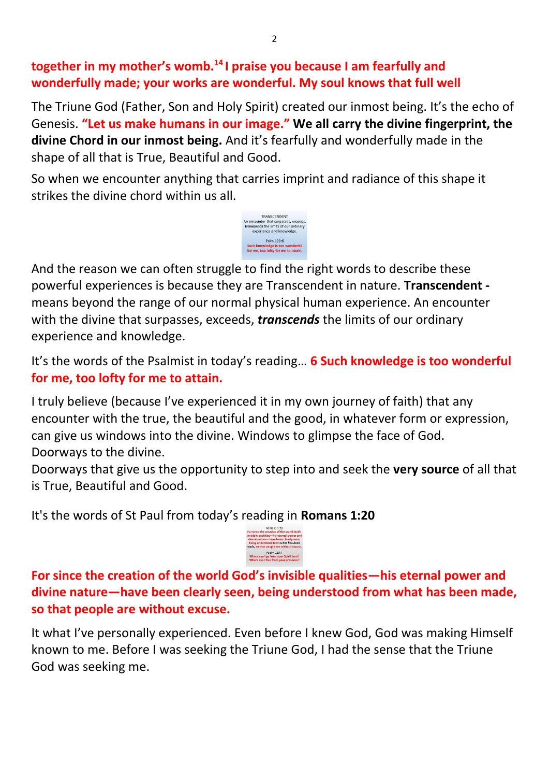#### **together in my mother's womb.<sup>14</sup> I praise you because I am fearfully and wonderfully made; your works are wonderful. My soul knows that full well**

The Triune God (Father, Son and Holy Spirit) created our inmost being. It's the echo of Genesis. **"Let us make humans in our image." We all carry the divine fingerprint, the divine Chord in our inmost being.** And it's fearfully and wonderfully made in the shape of all that is True, Beautiful and Good.

So when we encounter anything that carries imprint and radiance of this shape it strikes the divine chord within us all.



And the reason we can often struggle to find the right words to describe these powerful experiences is because they are Transcendent in nature. **Transcendent**  means beyond the range of our normal physical human experience. An encounter with the divine that surpasses, exceeds, *transcends* the limits of our ordinary experience and knowledge.

It's the words of the Psalmist in today's reading… **6 Such knowledge is too wonderful for me, too lofty for me to attain.** 

I truly believe (because I've experienced it in my own journey of faith) that any encounter with the true, the beautiful and the good, in whatever form or expression, can give us windows into the divine. Windows to glimpse the face of God. Doorways to the divine.

Doorways that give us the opportunity to step into and seek the **very source** of all that is True, Beautiful and Good.

It's the words of St Paul from today's reading in **Romans 1:20** 



**For since the creation of the world God's invisible qualities—his eternal power and divine nature—have been clearly seen, being understood from what has been made, so that people are without excuse.**

It what I've personally experienced. Even before I knew God, God was making Himself known to me. Before I was seeking the Triune God, I had the sense that the Triune God was seeking me.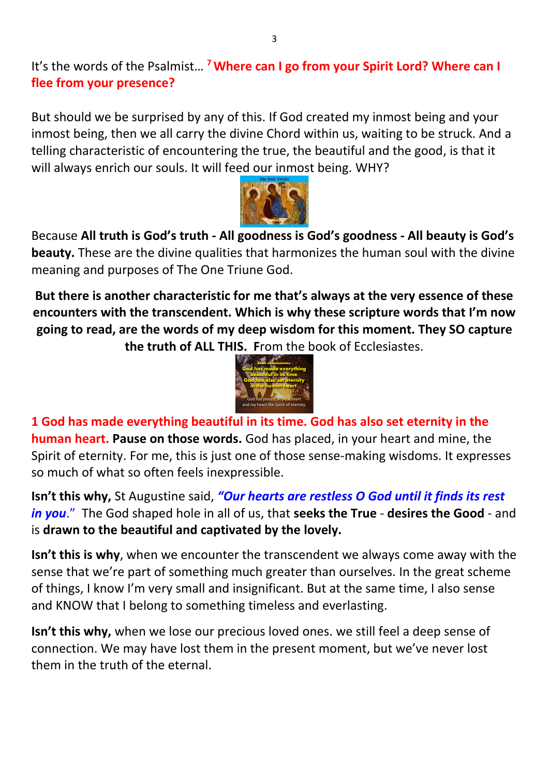It's the words of the Psalmist… **<sup>7</sup>Where can I go from your Spirit Lord? Where can I flee from your presence?**

But should we be surprised by any of this. If God created my inmost being and your inmost being, then we all carry the divine Chord within us, waiting to be struck. And a telling characteristic of encountering the true, the beautiful and the good, is that it will always enrich our souls. It will feed our inmost being. WHY?



Because **All truth is God's truth - All goodness is God's goodness - All beauty is God's beauty.** These are the divine qualities that harmonizes the human soul with the divine meaning and purposes of The One Triune God.

**But there is another characteristic for me that's always at the very essence of these encounters with the transcendent. Which is why these scripture words that I'm now going to read, are the words of my deep wisdom for this moment. They SO capture the truth of ALL THIS. F**rom the book of Ecclesiastes.



**1 God has made everything beautiful in its time. God has also set eternity in the human heart. Pause on those words.** God has placed, in your heart and mine, the Spirit of eternity. For me, this is just one of those sense-making wisdoms. It expresses so much of what so often feels inexpressible.

**Isn't this why,** St Augustine said, *"Our hearts are restless O God until it finds its rest in you*." The God shaped hole in all of us, that **seeks the True** - **desires the Good** - and is **drawn to the beautiful and captivated by the lovely.** 

**Isn't this is why**, when we encounter the transcendent we always come away with the sense that we're part of something much greater than ourselves. In the great scheme of things, I know I'm very small and insignificant. But at the same time, I also sense and KNOW that I belong to something timeless and everlasting.

**Isn't this why,** when we lose our precious loved ones. we still feel a deep sense of connection. We may have lost them in the present moment, but we've never lost them in the truth of the eternal.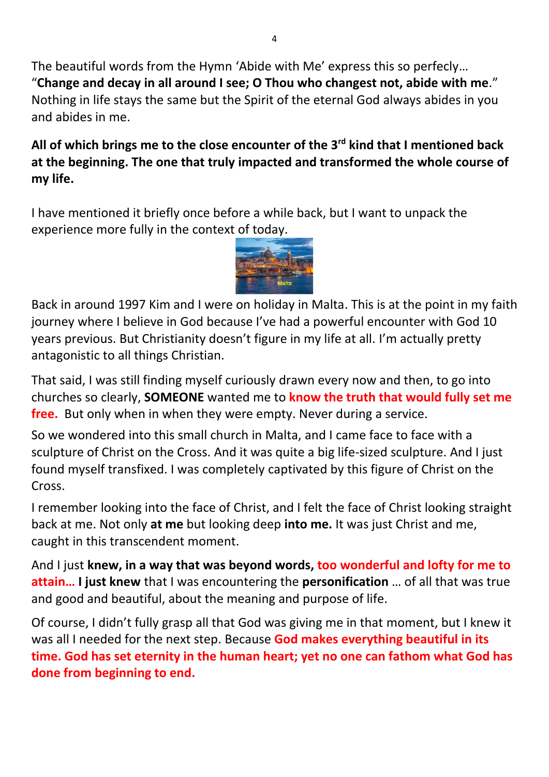The beautiful words from the Hymn 'Abide with Me' express this so perfecly… "**Change and decay in all around I see; O Thou who changest not, abide with me**." Nothing in life stays the same but the Spirit of the eternal God always abides in you and abides in me.

### **All of which brings me to the close encounter of the 3rd kind that I mentioned back at the beginning. The one that truly impacted and transformed the whole course of my life.**

I have mentioned it briefly once before a while back, but I want to unpack the experience more fully in the context of today.



Back in around 1997 Kim and I were on holiday in Malta. This is at the point in my faith journey where I believe in God because I've had a powerful encounter with God 10 years previous. But Christianity doesn't figure in my life at all. I'm actually pretty antagonistic to all things Christian.

That said, I was still finding myself curiously drawn every now and then, to go into churches so clearly, **SOMEONE** wanted me to **know the truth that would fully set me free.** But only when in when they were empty. Never during a service.

So we wondered into this small church in Malta, and I came face to face with a sculpture of Christ on the Cross. And it was quite a big life-sized sculpture. And I just found myself transfixed. I was completely captivated by this figure of Christ on the Cross.

I remember looking into the face of Christ, and I felt the face of Christ looking straight back at me. Not only **at me** but looking deep **into me.** It was just Christ and me, caught in this transcendent moment.

And I just **knew, in a way that was beyond words, too wonderful and lofty for me to attain… I just knew** that I was encountering the **personification** … of all that was true and good and beautiful, about the meaning and purpose of life.

Of course, I didn't fully grasp all that God was giving me in that moment, but I knew it was all I needed for the next step. Because **God makes everything beautiful in its time. God has set eternity in the human heart; yet no one can fathom what God has done from beginning to end.**